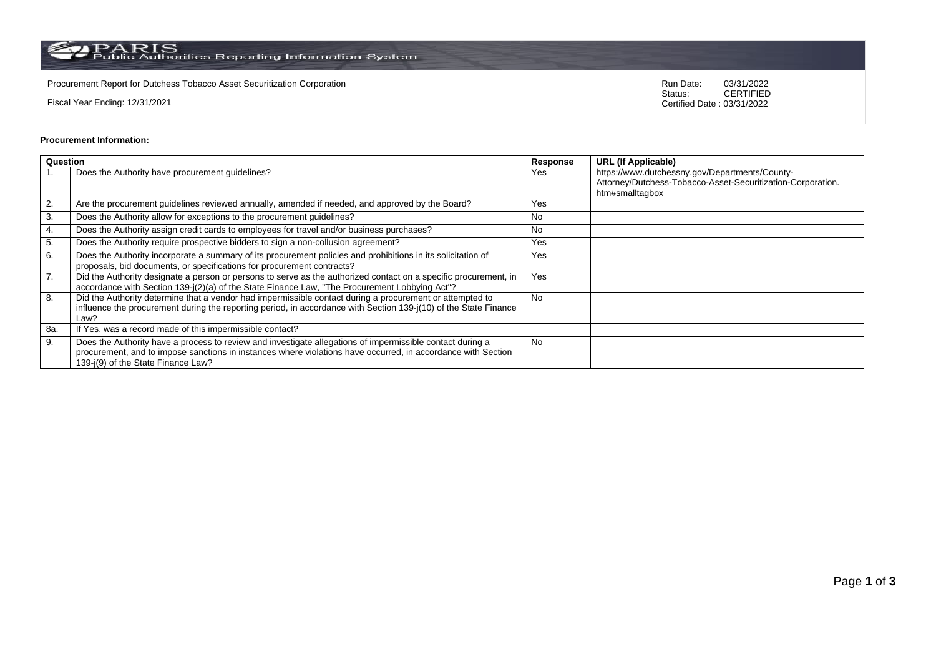$\rm PARS$  Public Authorities Reporting Information System

Procurement Report for Dutchess Tobacco Asset Securitization Corporation Run Date: 03/31/2022 Run Date: 03/31/2022<br>Status:

Fiscal Year Ending: 12/31/2021

03/31/2022<br>CERTIFIED Certified Date : 03/31/2022

## **Procurement Information:**

| Question |                                                                                                                                                                                                                                                                 | Response  | <b>URL (If Applicable)</b>                                                                                                       |
|----------|-----------------------------------------------------------------------------------------------------------------------------------------------------------------------------------------------------------------------------------------------------------------|-----------|----------------------------------------------------------------------------------------------------------------------------------|
|          | Does the Authority have procurement guidelines?                                                                                                                                                                                                                 | Yes       | https://www.dutchessny.gov/Departments/County-<br>Attorney/Dutchess-Tobacco-Asset-Securitization-Corporation.<br>htm#smalltagbox |
| 2.       | Are the procurement guidelines reviewed annually, amended if needed, and approved by the Board?                                                                                                                                                                 | Yes       |                                                                                                                                  |
| 3.       | Does the Authority allow for exceptions to the procurement guidelines?                                                                                                                                                                                          | <b>No</b> |                                                                                                                                  |
| 4.       | Does the Authority assign credit cards to employees for travel and/or business purchases?                                                                                                                                                                       | No.       |                                                                                                                                  |
| 5.       | Does the Authority require prospective bidders to sign a non-collusion agreement?                                                                                                                                                                               | Yes       |                                                                                                                                  |
| 6.       | Does the Authority incorporate a summary of its procurement policies and prohibitions in its solicitation of<br>proposals, bid documents, or specifications for procurement contracts?                                                                          | Yes       |                                                                                                                                  |
| 7.       | Did the Authority designate a person or persons to serve as the authorized contact on a specific procurement, in<br>accordance with Section 139-j(2)(a) of the State Finance Law, "The Procurement Lobbying Act"?                                               | Yes       |                                                                                                                                  |
| 8.       | Did the Authority determine that a vendor had impermissible contact during a procurement or attempted to<br>influence the procurement during the reporting period, in accordance with Section 139-j(10) of the State Finance<br>Law?                            | No.       |                                                                                                                                  |
| 8a.      | If Yes, was a record made of this impermissible contact?                                                                                                                                                                                                        |           |                                                                                                                                  |
| 9.       | Does the Authority have a process to review and investigate allegations of impermissible contact during a<br>procurement, and to impose sanctions in instances where violations have occurred, in accordance with Section<br>139-i(9) of the State Finance Law? | No.       |                                                                                                                                  |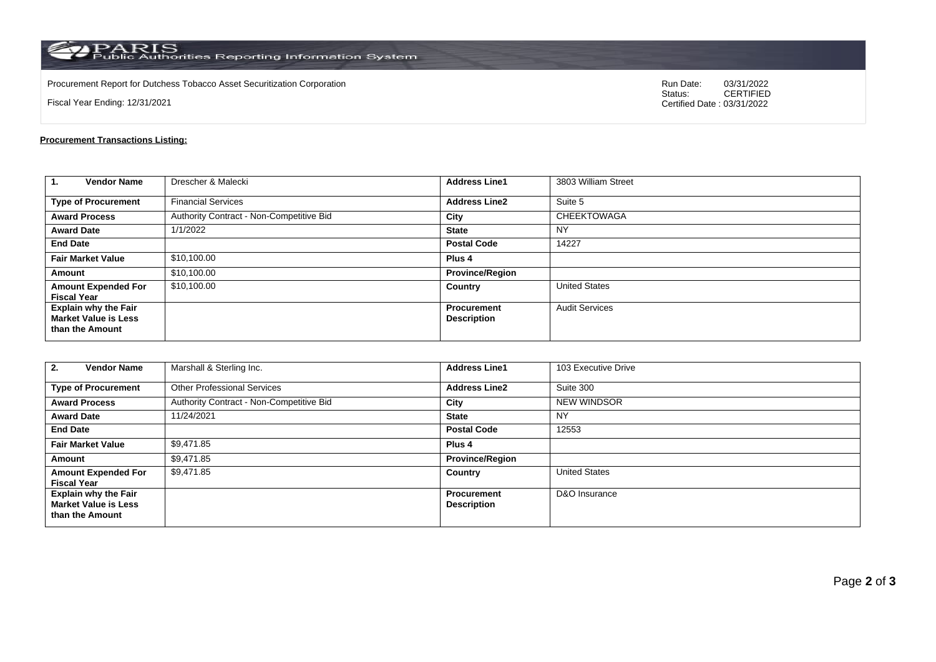$\rm PARS$  PARIS<br>Public Authorities Reporting Information System

Procurement Report for Dutchess Tobacco Asset Securitization Corporation Run Date: 03/31/2022 Run Date: 03/31/2022<br>Status:

Fiscal Year Ending: 12/31/2021

03/31/2022<br>CERTIFIED Certified Date : 03/31/2022

## **Procurement Transactions Listing:**

| 1.<br><b>Vendor Name</b>                                                      | Drescher & Malecki                       | <b>Address Line1</b>                     | 3803 William Street   |
|-------------------------------------------------------------------------------|------------------------------------------|------------------------------------------|-----------------------|
| <b>Type of Procurement</b>                                                    | <b>Financial Services</b>                | <b>Address Line2</b>                     | Suite 5               |
| <b>Award Process</b>                                                          | Authority Contract - Non-Competitive Bid | City                                     | <b>CHEEKTOWAGA</b>    |
| <b>Award Date</b>                                                             | 1/1/2022                                 | <b>State</b>                             | NY                    |
| <b>End Date</b>                                                               |                                          | <b>Postal Code</b>                       | 14227                 |
| <b>Fair Market Value</b>                                                      | \$10,100.00                              | Plus <sub>4</sub>                        |                       |
| Amount                                                                        | \$10,100.00                              | <b>Province/Region</b>                   |                       |
| <b>Amount Expended For</b><br><b>Fiscal Year</b>                              | \$10,100.00                              | Country                                  | <b>United States</b>  |
| <b>Explain why the Fair</b><br><b>Market Value is Less</b><br>than the Amount |                                          | <b>Procurement</b><br><b>Description</b> | <b>Audit Services</b> |

| 2.<br><b>Vendor Name</b>                                                      | Marshall & Sterling Inc.                 | <b>Address Line1</b>                     | 103 Executive Drive  |  |
|-------------------------------------------------------------------------------|------------------------------------------|------------------------------------------|----------------------|--|
| <b>Type of Procurement</b>                                                    | <b>Other Professional Services</b>       | <b>Address Line2</b>                     | Suite 300            |  |
| <b>Award Process</b>                                                          | Authority Contract - Non-Competitive Bid | City                                     | <b>NEW WINDSOR</b>   |  |
| <b>Award Date</b>                                                             | 11/24/2021                               | <b>State</b>                             | <b>NY</b>            |  |
| <b>End Date</b>                                                               |                                          | <b>Postal Code</b>                       | 12553                |  |
| <b>Fair Market Value</b>                                                      | \$9,471.85                               | Plus <sub>4</sub>                        |                      |  |
| Amount                                                                        | \$9,471.85                               | <b>Province/Region</b>                   |                      |  |
| <b>Amount Expended For</b><br><b>Fiscal Year</b>                              | \$9,471.85                               | Country                                  | <b>United States</b> |  |
| <b>Explain why the Fair</b><br><b>Market Value is Less</b><br>than the Amount |                                          | <b>Procurement</b><br><b>Description</b> | D&O Insurance        |  |